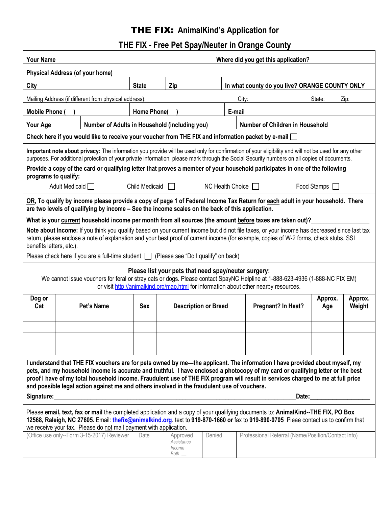# THE FIX: **AnimalKind's Application for**

# **THE FIX - Free Pet Spay/Neuter in Orange County**

| <b>Your Name</b>                                                                                                                                                                                                                                                                                                                                                                                                                                                                                  |  |                                            |                                               |                                  |        | Where did you get this application?            |                                                    |         |         |  |
|---------------------------------------------------------------------------------------------------------------------------------------------------------------------------------------------------------------------------------------------------------------------------------------------------------------------------------------------------------------------------------------------------------------------------------------------------------------------------------------------------|--|--------------------------------------------|-----------------------------------------------|----------------------------------|--------|------------------------------------------------|----------------------------------------------------|---------|---------|--|
| <b>Physical Address (of your home)</b>                                                                                                                                                                                                                                                                                                                                                                                                                                                            |  |                                            |                                               |                                  |        |                                                |                                                    |         |         |  |
| City                                                                                                                                                                                                                                                                                                                                                                                                                                                                                              |  |                                            | <b>State</b><br>Zip                           |                                  |        | In what county do you live? ORANGE COUNTY ONLY |                                                    |         |         |  |
| Mailing Address (if different from physical address):                                                                                                                                                                                                                                                                                                                                                                                                                                             |  |                                            |                                               |                                  |        |                                                | City:                                              | State:  | Zip:    |  |
| <b>Mobile Phone</b>                                                                                                                                                                                                                                                                                                                                                                                                                                                                               |  |                                            | Home Phone(                                   |                                  |        | E-mail                                         |                                                    |         |         |  |
| Your Age                                                                                                                                                                                                                                                                                                                                                                                                                                                                                          |  |                                            | Number of Adults in Household (including you) |                                  |        |                                                | Number of Children in Household                    |         |         |  |
| Check here if you would like to receive your voucher from THE FIX and information packet by e-mail $\Box$                                                                                                                                                                                                                                                                                                                                                                                         |  |                                            |                                               |                                  |        |                                                |                                                    |         |         |  |
| Important note about privacy: The information you provide will be used only for confirmation of your eligibility and will not be used for any other<br>purposes. For additional protection of your private information, please mark through the Social Security numbers on all copies of documents.                                                                                                                                                                                               |  |                                            |                                               |                                  |        |                                                |                                                    |         |         |  |
| Provide a copy of the card or qualifying letter that proves a member of your household participates in one of the following<br>programs to qualify:                                                                                                                                                                                                                                                                                                                                               |  |                                            |                                               |                                  |        |                                                |                                                    |         |         |  |
| Adult Medicaid<br>Child Medicaid<br>$NC$ Health Choice $\Box$<br>Food Stamps                                                                                                                                                                                                                                                                                                                                                                                                                      |  |                                            |                                               |                                  |        |                                                |                                                    |         |         |  |
| OR, To qualify by income please provide a copy of page 1 of Federal Income Tax Return for each adult in your household. There<br>are two levels of qualifying by income - See the income scales on the back of this application.                                                                                                                                                                                                                                                                  |  |                                            |                                               |                                  |        |                                                |                                                    |         |         |  |
| What is your current household income per month from all sources (the amount before taxes are taken out)?                                                                                                                                                                                                                                                                                                                                                                                         |  |                                            |                                               |                                  |        |                                                |                                                    |         |         |  |
| Note about Income: If you think you qualify based on your current income but did not file taxes, or your income has decreased since last tax<br>return, please enclose a note of explanation and your best proof of current income (for example, copies of W-2 forms, check stubs, SSI<br>benefits letters, etc.).                                                                                                                                                                                |  |                                            |                                               |                                  |        |                                                |                                                    |         |         |  |
| Please check here if you are a full-time student $\Box$ (Please see "Do I qualify" on back)                                                                                                                                                                                                                                                                                                                                                                                                       |  |                                            |                                               |                                  |        |                                                |                                                    |         |         |  |
| Please list your pets that need spay/neuter surgery:<br>We cannot issue vouchers for feral or stray cats or dogs. Please contact SpayNC Helpline at 1-888-623-4936 (1-888-NC FIX EM)<br>or visit http://animalkind.org/map.html for information about other nearby resources.                                                                                                                                                                                                                     |  |                                            |                                               |                                  |        |                                                |                                                    |         |         |  |
| Dog or<br>Cat                                                                                                                                                                                                                                                                                                                                                                                                                                                                                     |  | Pet's Name                                 | <b>Sex</b>                                    | <b>Description or Breed</b>      |        |                                                | Pregnant? In Heat?                                 | Approx. | Approx. |  |
|                                                                                                                                                                                                                                                                                                                                                                                                                                                                                                   |  |                                            |                                               |                                  |        |                                                |                                                    | Age     | Weight  |  |
|                                                                                                                                                                                                                                                                                                                                                                                                                                                                                                   |  |                                            |                                               |                                  |        |                                                |                                                    |         |         |  |
|                                                                                                                                                                                                                                                                                                                                                                                                                                                                                                   |  |                                            |                                               |                                  |        |                                                |                                                    |         |         |  |
|                                                                                                                                                                                                                                                                                                                                                                                                                                                                                                   |  |                                            |                                               |                                  |        |                                                |                                                    |         |         |  |
| I understand that THE FIX vouchers are for pets owned by me—the applicant. The information I have provided about myself, my<br>pets, and my household income is accurate and truthful. I have enclosed a photocopy of my card or qualifying letter or the best<br>proof I have of my total household income. Fraudulent use of THE FIX program will result in services charged to me at full price<br>and possible legal action against me and others involved in the fraudulent use of vouchers. |  |                                            |                                               |                                  |        |                                                |                                                    |         |         |  |
| Signature:<br>Date:                                                                                                                                                                                                                                                                                                                                                                                                                                                                               |  |                                            |                                               |                                  |        |                                                |                                                    |         |         |  |
| Please email, text, fax or mail the completed application and a copy of your qualifying documents to: AnimalKind--THE FIX, PO Box<br>12568, Raleigh, NC 27605. Email: <i>thefix@animalkind.org.</i> text to 919-870-1660 or fax to 919-890-0705 Pleae contact us to confirm that<br>we receive your fax. Please do not mail payment with application.                                                                                                                                             |  |                                            |                                               |                                  |        |                                                |                                                    |         |         |  |
|                                                                                                                                                                                                                                                                                                                                                                                                                                                                                                   |  | (Office use only--Form 3-15-2017) Reviewer | Date                                          | Approved<br>Assistance _<br>Both | Denied |                                                | Professional Referral (Name/Position/Contact Info) |         |         |  |